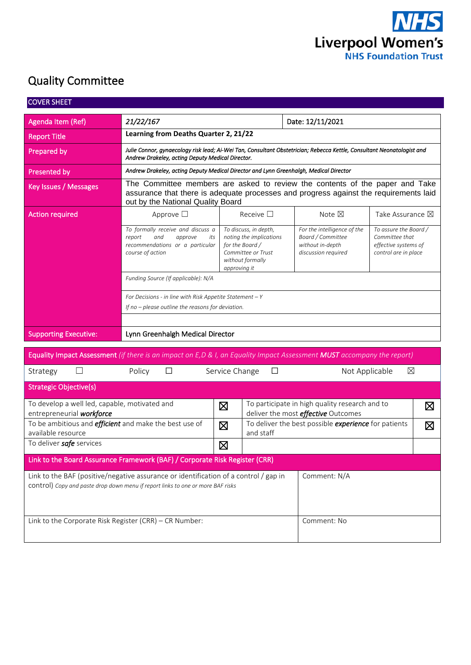

# Quality Committee

| <b>COVER SHEET</b>                                                                  |                                                                                                                                                                                                            |                                                                                                                               |                                                                                              |                                                                                         |  |  |  |  |  |
|-------------------------------------------------------------------------------------|------------------------------------------------------------------------------------------------------------------------------------------------------------------------------------------------------------|-------------------------------------------------------------------------------------------------------------------------------|----------------------------------------------------------------------------------------------|-----------------------------------------------------------------------------------------|--|--|--|--|--|
| Agenda Item (Ref)                                                                   | 21/22/167                                                                                                                                                                                                  |                                                                                                                               | Date: 12/11/2021                                                                             |                                                                                         |  |  |  |  |  |
| <b>Report Title</b>                                                                 | Learning from Deaths Quarter 2, 21/22                                                                                                                                                                      |                                                                                                                               |                                                                                              |                                                                                         |  |  |  |  |  |
| Prepared by                                                                         | Julie Connor, gynaecology risk lead; Ai-Wei Tan, Consultant Obstetrician; Rebecca Kettle, Consultant Neonatologist and<br>Andrew Drakeley, acting Deputy Medical Director.                                 |                                                                                                                               |                                                                                              |                                                                                         |  |  |  |  |  |
| Presented by                                                                        | Andrew Drakeley, acting Deputy Medical Director and Lynn Greenhalgh, Medical Director                                                                                                                      |                                                                                                                               |                                                                                              |                                                                                         |  |  |  |  |  |
| Key Issues / Messages                                                               | The Committee members are asked to review the contents of the paper and Take<br>assurance that there is adequate processes and progress against the requirements laid<br>out by the National Quality Board |                                                                                                                               |                                                                                              |                                                                                         |  |  |  |  |  |
| <b>Action required</b>                                                              | Approve $\square$                                                                                                                                                                                          | Receive $\square$                                                                                                             | Note $\boxtimes$                                                                             | Take Assurance $\boxtimes$                                                              |  |  |  |  |  |
|                                                                                     | To formally receive and discuss a<br>and<br>approve<br>report<br>its<br>recommendations or a particular<br>course of action                                                                                | To discuss, in depth,<br>noting the implications<br>for the Board /<br>Committee or Trust<br>without formally<br>approving it | For the intelligence of the<br>Board / Committee<br>without in-depth<br>discussion required  | To assure the Board /<br>Committee that<br>effective systems of<br>control are in place |  |  |  |  |  |
|                                                                                     | Funding Source (If applicable): N/A                                                                                                                                                                        |                                                                                                                               |                                                                                              |                                                                                         |  |  |  |  |  |
|                                                                                     | For Decisions - in line with Risk Appetite Statement $-Y$<br>If no - please outline the reasons for deviation.                                                                                             |                                                                                                                               |                                                                                              |                                                                                         |  |  |  |  |  |
| <b>Supporting Executive:</b>                                                        | Lynn Greenhalgh Medical Director                                                                                                                                                                           |                                                                                                                               |                                                                                              |                                                                                         |  |  |  |  |  |
|                                                                                     | Equality Impact Assessment (if there is an impact on E,D & I, an Equality Impact Assessment MUST accompany the report)                                                                                     |                                                                                                                               |                                                                                              |                                                                                         |  |  |  |  |  |
| Strategy                                                                            | Policy<br>□                                                                                                                                                                                                | Service Change<br>$\Box$                                                                                                      | Not Applicable                                                                               | ⊠                                                                                       |  |  |  |  |  |
| <b>Strategic Objective(s)</b>                                                       |                                                                                                                                                                                                            |                                                                                                                               |                                                                                              |                                                                                         |  |  |  |  |  |
| To develop a well led, capable, motivated and<br>entrepreneurial workforce          |                                                                                                                                                                                                            | $\boxtimes$                                                                                                                   | To participate in high quality research and to<br>deliver the most <i>effective</i> Outcomes | $\boxtimes$                                                                             |  |  |  |  |  |
| To be ambitious and <i>efficient</i> and make the best use of<br>available resource |                                                                                                                                                                                                            | $\boxtimes$<br>and staff                                                                                                      | To deliver the best possible experience for patients                                         | $\boxtimes$                                                                             |  |  |  |  |  |
| To deliver safe services                                                            |                                                                                                                                                                                                            | $\boxtimes$                                                                                                                   |                                                                                              |                                                                                         |  |  |  |  |  |
|                                                                                     | Link to the Board Assurance Framework (BAF) / Corporate Risk Register (CRR)                                                                                                                                |                                                                                                                               |                                                                                              |                                                                                         |  |  |  |  |  |
|                                                                                     | Link to the BAF (positive/negative assurance or identification of a control / gap in<br>control) Copy and paste drop down menu if report links to one or more BAF risks                                    |                                                                                                                               | Comment: N/A                                                                                 |                                                                                         |  |  |  |  |  |
| Link to the Corporate Risk Register (CRR) - CR Number:                              |                                                                                                                                                                                                            |                                                                                                                               | Comment: No                                                                                  |                                                                                         |  |  |  |  |  |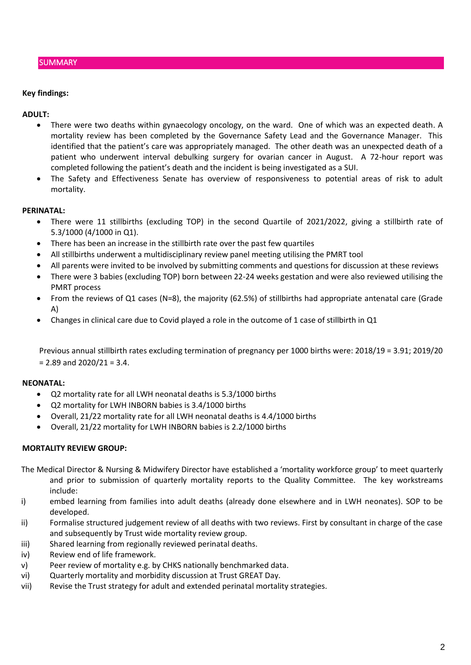#### **SUMMARY**

#### **Key findings:**

#### **ADULT:**

- There were two deaths within gynaecology oncology, on the ward. One of which was an expected death. A mortality review has been completed by the Governance Safety Lead and the Governance Manager. This identified that the patient's care was appropriately managed. The other death was an unexpected death of a patient who underwent interval debulking surgery for ovarian cancer in August. A 72-hour report was completed following the patient's death and the incident is being investigated as a SUI.
- The Safety and Effectiveness Senate has overview of responsiveness to potential areas of risk to adult mortality.

#### **PERINATAL:**

- There were 11 stillbirths (excluding TOP) in the second Quartile of 2021/2022, giving a stillbirth rate of 5.3/1000 (4/1000 in Q1).
- There has been an increase in the stillbirth rate over the past few quartiles
- All stillbirths underwent a multidisciplinary review panel meeting utilising the PMRT tool
- All parents were invited to be involved by submitting comments and questions for discussion at these reviews
- There were 3 babies (excluding TOP) born between 22-24 weeks gestation and were also reviewed utilising the PMRT process
- From the reviews of Q1 cases (N=8), the majority (62.5%) of stillbirths had appropriate antenatal care (Grade A)
- Changes in clinical care due to Covid played a role in the outcome of 1 case of stillbirth in Q1

Previous annual stillbirth rates excluding termination of pregnancy per 1000 births were: 2018/19 = 3.91; 2019/20  $= 2.89$  and  $2020/21 = 3.4$ .

#### **NEONATAL:**

- Q2 mortality rate for all LWH neonatal deaths is 5.3/1000 births
- Q2 mortality for LWH INBORN babies is 3.4/1000 births
- Overall, 21/22 mortality rate for all LWH neonatal deaths is 4.4/1000 births
- Overall, 21/22 mortality for LWH INBORN babies is 2.2/1000 births

#### **MORTALITY REVIEW GROUP:**

The Medical Director & Nursing & Midwifery Director have established a 'mortality workforce group' to meet quarterly and prior to submission of quarterly mortality reports to the Quality Committee. The key workstreams include:

- i) embed learning from families into adult deaths (already done elsewhere and in LWH neonates). SOP to be developed.
- ii) Formalise structured judgement review of all deaths with two reviews. First by consultant in charge of the case and subsequently by Trust wide mortality review group.
- iii) Shared learning from regionally reviewed perinatal deaths.
- iv) Review end of life framework.
- v) Peer review of mortality e.g. by CHKS nationally benchmarked data.
- vi) Quarterly mortality and morbidity discussion at Trust GREAT Day.
- vii) Revise the Trust strategy for adult and extended perinatal mortality strategies.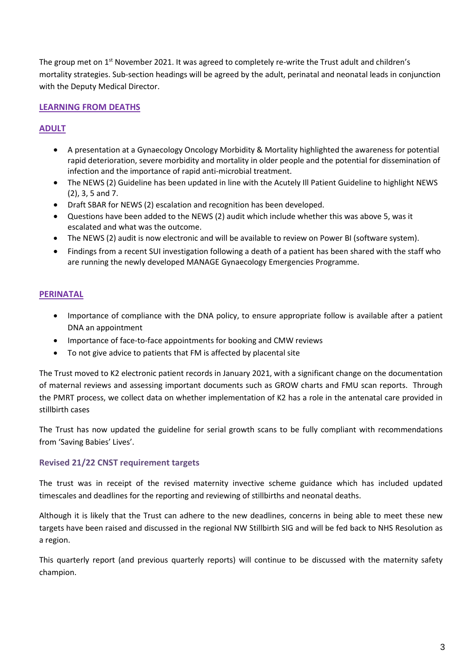The group met on 1<sup>st</sup> November 2021. It was agreed to completely re-write the Trust adult and children's mortality strategies. Sub-section headings will be agreed by the adult, perinatal and neonatal leads in conjunction with the Deputy Medical Director.

## **LEARNING FROM DEATHS**

## **ADULT**

- A presentation at a Gynaecology Oncology Morbidity & Mortality highlighted the awareness for potential rapid deterioration, severe morbidity and mortality in older people and the potential for dissemination of infection and the importance of rapid anti-microbial treatment.
- The NEWS (2) Guideline has been updated in line with the Acutely Ill Patient Guideline to highlight NEWS (2), 3, 5 and 7.
- Draft SBAR for NEWS (2) escalation and recognition has been developed.
- Questions have been added to the NEWS (2) audit which include whether this was above 5, was it escalated and what was the outcome.
- The NEWS (2) audit is now electronic and will be available to review on Power BI (software system).
- Findings from a recent SUI investigation following a death of a patient has been shared with the staff who are running the newly developed MANAGE Gynaecology Emergencies Programme.

## **PERINATAL**

- Importance of compliance with the DNA policy, to ensure appropriate follow is available after a patient DNA an appointment
- Importance of face-to-face appointments for booking and CMW reviews
- To not give advice to patients that FM is affected by placental site

The Trust moved to K2 electronic patient records in January 2021, with a significant change on the documentation of maternal reviews and assessing important documents such as GROW charts and FMU scan reports. Through the PMRT process, we collect data on whether implementation of K2 has a role in the antenatal care provided in stillbirth cases

The Trust has now updated the guideline for serial growth scans to be fully compliant with recommendations from 'Saving Babies' Lives'.

#### **Revised 21/22 CNST requirement targets**

The trust was in receipt of the revised maternity invective scheme guidance which has included updated timescales and deadlines for the reporting and reviewing of stillbirths and neonatal deaths.

Although it is likely that the Trust can adhere to the new deadlines, concerns in being able to meet these new targets have been raised and discussed in the regional NW Stillbirth SIG and will be fed back to NHS Resolution as a region.

This quarterly report (and previous quarterly reports) will continue to be discussed with the maternity safety champion.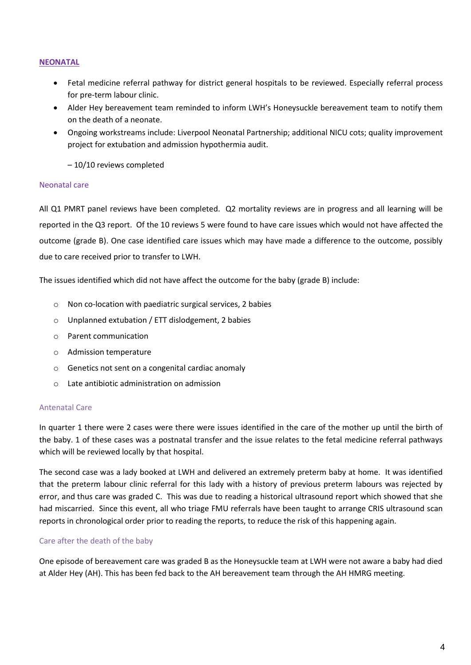#### **NEONATAL**

- Fetal medicine referral pathway for district general hospitals to be reviewed. Especially referral process for pre-term labour clinic.
- Alder Hey bereavement team reminded to inform LWH's Honeysuckle bereavement team to notify them on the death of a neonate.
- Ongoing workstreams include: Liverpool Neonatal Partnership; additional NICU cots; quality improvement project for extubation and admission hypothermia audit.

– 10/10 reviews completed

#### Neonatal care

All Q1 PMRT panel reviews have been completed. Q2 mortality reviews are in progress and all learning will be reported in the Q3 report. Of the 10 reviews 5 were found to have care issues which would not have affected the outcome (grade B). One case identified care issues which may have made a difference to the outcome, possibly due to care received prior to transfer to LWH.

The issues identified which did not have affect the outcome for the baby (grade B) include:

- o Non co-location with paediatric surgical services, 2 babies
- o Unplanned extubation / ETT dislodgement, 2 babies
- o Parent communication
- o Admission temperature
- o Genetics not sent on a congenital cardiac anomaly
- o Late antibiotic administration on admission

#### Antenatal Care

In quarter 1 there were 2 cases were there were issues identified in the care of the mother up until the birth of the baby. 1 of these cases was a postnatal transfer and the issue relates to the fetal medicine referral pathways which will be reviewed locally by that hospital.

The second case was a lady booked at LWH and delivered an extremely preterm baby at home. It was identified that the preterm labour clinic referral for this lady with a history of previous preterm labours was rejected by error, and thus care was graded C. This was due to reading a historical ultrasound report which showed that she had miscarried. Since this event, all who triage FMU referrals have been taught to arrange CRIS ultrasound scan reports in chronological order prior to reading the reports, to reduce the risk of this happening again.

#### Care after the death of the baby

One episode of bereavement care was graded B as the Honeysuckle team at LWH were not aware a baby had died at Alder Hey (AH). This has been fed back to the AH bereavement team through the AH HMRG meeting.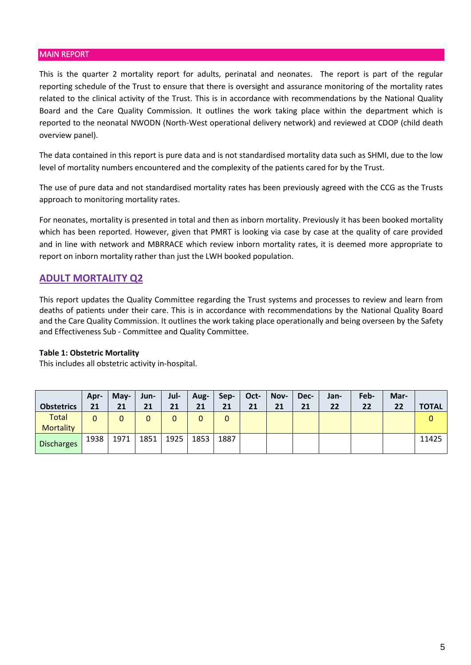#### MAIN REPORT

This is the quarter 2 mortality report for adults, perinatal and neonates. The report is part of the regular reporting schedule of the Trust to ensure that there is oversight and assurance monitoring of the mortality rates related to the clinical activity of the Trust. This is in accordance with recommendations by the National Quality Board and the Care Quality Commission. It outlines the work taking place within the department which is reported to the neonatal NWODN (North-West operational delivery network) and reviewed at CDOP (child death overview panel).

The data contained in this report is pure data and is not standardised mortality data such as SHMI, due to the low level of mortality numbers encountered and the complexity of the patients cared for by the Trust.

The use of pure data and not standardised mortality rates has been previously agreed with the CCG as the Trusts approach to monitoring mortality rates.

For neonates, mortality is presented in total and then as inborn mortality. Previously it has been booked mortality which has been reported. However, given that PMRT is looking via case by case at the quality of care provided and in line with network and MBRRACE which review inborn mortality rates, it is deemed more appropriate to report on inborn mortality rather than just the LWH booked population.

## **ADULT MORTALITY Q2**

This report updates the Quality Committee regarding the Trust systems and processes to review and learn from deaths of patients under their care. This is in accordance with recommendations by the National Quality Board and the Care Quality Commission. It outlines the work taking place operationally and being overseen by the Safety and Effectiveness Sub - Committee and Quality Committee.

#### **Table 1: Obstetric Mortality**

This includes all obstetric activity in-hospital.

|                   | Apr- | May- | Jun- | Jul- | Aug- | Sep- | Oct- | Nov- | Dec- | Jan- | Feb- | Mar- |              |
|-------------------|------|------|------|------|------|------|------|------|------|------|------|------|--------------|
| <b>Obstetrics</b> | 21   | 21   | 21   | 21   | 21   | 21   | 21   | 21   | 21   | 22   | 22   | 22   | <b>TOTAL</b> |
| Total             | 0    |      | 0    |      | 0    | 0    |      |      |      |      |      |      |              |
| <b>Mortality</b>  |      |      |      |      |      |      |      |      |      |      |      |      |              |
| <b>Discharges</b> | 1938 | 1971 | 1851 | 1925 | 1853 | 1887 |      |      |      |      |      |      | 11425        |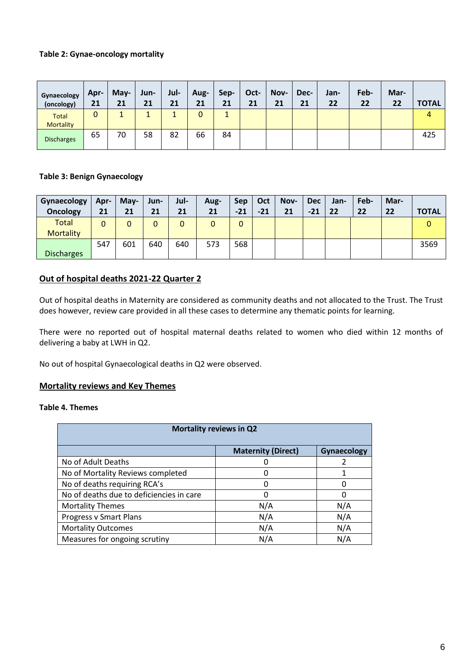### **Table 2: Gynae-oncology mortality**

| Gynaecology<br>(oncology)        | Apr-<br>21   | $May-$<br>21 | Jun-<br>21 | Jul-<br>21 | Aug-<br>21 | Sep-<br>21 | Oct-<br>21 | Nov-<br>21 | Dec-<br>21 | Jan-<br>22 | Feb-<br>22 | Mar-<br>22 | <b>TOTAL</b> |
|----------------------------------|--------------|--------------|------------|------------|------------|------------|------------|------------|------------|------------|------------|------------|--------------|
| <b>Total</b><br><b>Mortality</b> | $\mathbf{0}$ |              |            |            | 0          |            |            |            |            |            |            |            |              |
| <b>Discharges</b>                | 65           | 70           | 58         | 82         | 66         | 84         |            |            |            |            |            |            | 425          |

#### **Table 3: Benign Gynaecology**

| Gynaecology<br><b>Oncology</b>   | Apr-<br>21 | May-<br>21 | Jun-<br>21 | Jul-<br>21 | Aug-<br>21 | <b>Sep</b><br>$-21$ | Oct<br>$-21$ | Nov-<br>21 | <b>Dec</b><br>$-21$ | Jan-<br>22 | Feb-<br>22 | Mar-<br>22 | <b>TOTAL</b> |
|----------------------------------|------------|------------|------------|------------|------------|---------------------|--------------|------------|---------------------|------------|------------|------------|--------------|
| <b>Total</b><br><b>Mortality</b> | 0          |            |            |            | 0          | 0                   |              |            |                     |            |            |            |              |
| <b>Discharges</b>                | 547        | 601        | 640        | 640        | 573        | 568                 |              |            |                     |            |            |            | 3569         |

#### **Out of hospital deaths 2021-22 Quarter 2**

Out of hospital deaths in Maternity are considered as community deaths and not allocated to the Trust. The Trust does however, review care provided in all these cases to determine any thematic points for learning.

There were no reported out of hospital maternal deaths related to women who died within 12 months of delivering a baby at LWH in Q2.

No out of hospital Gynaecological deaths in Q2 were observed.

#### **Mortality reviews and Key Themes**

## **Table 4. Themes**

| <b>Mortality reviews in Q2</b>           |                           |                    |  |  |  |  |  |  |
|------------------------------------------|---------------------------|--------------------|--|--|--|--|--|--|
|                                          | <b>Maternity (Direct)</b> | <b>Gynaecology</b> |  |  |  |  |  |  |
| No of Adult Deaths                       |                           |                    |  |  |  |  |  |  |
| No of Mortality Reviews completed        |                           |                    |  |  |  |  |  |  |
| No of deaths requiring RCA's             |                           | 0                  |  |  |  |  |  |  |
| No of deaths due to deficiencies in care | O                         | Ω                  |  |  |  |  |  |  |
| <b>Mortality Themes</b>                  | N/A                       | N/A                |  |  |  |  |  |  |
| Progress v Smart Plans                   | N/A                       | N/A                |  |  |  |  |  |  |
| <b>Mortality Outcomes</b>                | N/A                       | N/A                |  |  |  |  |  |  |
| Measures for ongoing scrutiny            | N/A                       | N/A                |  |  |  |  |  |  |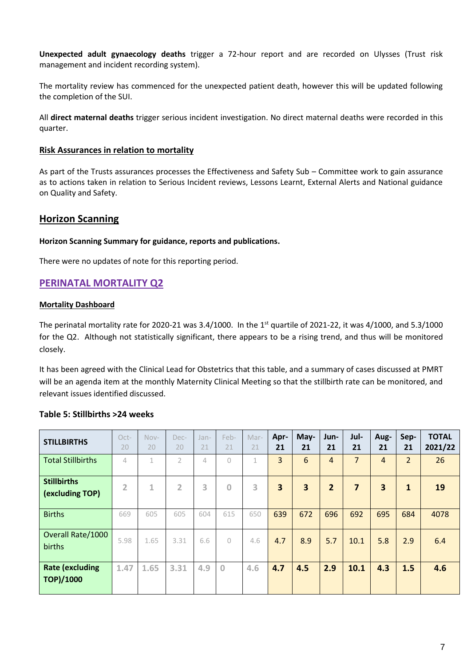**Unexpected adult gynaecology deaths** trigger a 72-hour report and are recorded on Ulysses (Trust risk management and incident recording system).

The mortality review has commenced for the unexpected patient death, however this will be updated following the completion of the SUI.

All **direct maternal deaths** trigger serious incident investigation. No direct maternal deaths were recorded in this quarter.

#### **Risk Assurances in relation to mortality**

As part of the Trusts assurances processes the Effectiveness and Safety Sub – Committee work to gain assurance as to actions taken in relation to Serious Incident reviews, Lessons Learnt, External Alerts and National guidance on Quality and Safety.

## **Horizon Scanning**

#### **Horizon Scanning Summary for guidance, reports and publications.**

There were no updates of note for this reporting period.

## **PERINATAL MORTALITY Q2**

#### **Mortality Dashboard**

The perinatal mortality rate for 2020-21 was 3.4/1000. In the 1<sup>st</sup> quartile of 2021-22, it was 4/1000, and 5.3/1000 for the Q2. Although not statistically significant, there appears to be a rising trend, and thus will be monitored closely.

It has been agreed with the Clinical Lead for Obstetrics that this table, and a summary of cases discussed at PMRT will be an agenda item at the monthly Maternity Clinical Meeting so that the stillbirth rate can be monitored, and relevant issues identified discussed.

| <b>STILLBIRTHS</b>                         | Oct-<br>20     | Nov-<br>20 | Dec-<br>20     | Jan-<br>21 | Feb-<br>21   | Mar-<br>21 | Apr-<br>21              | May-<br>21              | Jun-<br>21     | Jul-<br>21     | Aug-<br>21     | Sep-<br>21     | <b>TOTAL</b><br>2021/22 |
|--------------------------------------------|----------------|------------|----------------|------------|--------------|------------|-------------------------|-------------------------|----------------|----------------|----------------|----------------|-------------------------|
| <b>Total Stillbirths</b>                   | 4              | 1          | $\mathcal{P}$  | 4          | $\bigcap$    | 1          | $\overline{3}$          | 6                       | 4              | $\overline{7}$ | $\overline{4}$ | $\overline{2}$ | 26                      |
| <b>Stillbirths</b><br>(excluding TOP)      | $\overline{2}$ | 1          | $\overline{2}$ | 3          | $\mathbf{0}$ | 3          | $\overline{\mathbf{3}}$ | $\overline{\mathbf{3}}$ | $\overline{2}$ | $\overline{7}$ | 3              | $\mathbf{1}$   | 19                      |
| <b>Births</b>                              | 669            | 605        | 605            | 604        | 615          | 650        | 639                     | 672                     | 696            | 692            | 695            | 684            | 4078                    |
| Overall Rate/1000<br>births                | 5.98           | 1.65       | 3.31           | 6.6        | $\circ$      | 4.6        | 4.7                     | 8.9                     | 5.7            | 10.1           | 5.8            | 2.9            | 6.4                     |
| <b>Rate (excluding</b><br><b>TOP)/1000</b> | 1.47           | 1.65       | 3.31           | 4.9        | $\mathbf{0}$ | 4.6        | 4.7                     | 4.5                     | 2.9            | 10.1           | 4.3            | 1.5            | 4.6                     |

#### **Table 5: Stillbirths >24 weeks**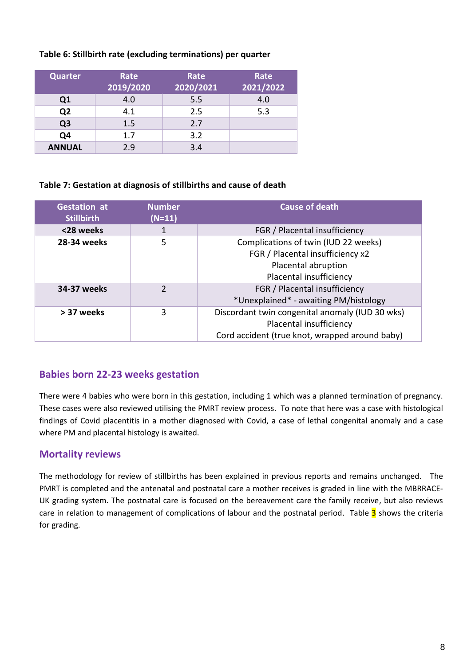## **Table 6: Stillbirth rate (excluding terminations) per quarter**

| <b>Quarter</b> | Rate<br>2019/2020 | Rate<br>2020/2021 | Rate<br>2021/2022 |
|----------------|-------------------|-------------------|-------------------|
| Q <sub>1</sub> | 4.0               | 5.5               | 4.0               |
| Q <sub>2</sub> | 4.1               | 2.5               | 5.3               |
| Q <sub>3</sub> | 1.5               | 2.7               |                   |
| Q4             | 1.7               | 3.2               |                   |
| <b>ANNUAL</b>  | 2.9               | 3.4               |                   |

## **Table 7: Gestation at diagnosis of stillbirths and cause of death**

| <b>Gestation at</b><br><b>Stillbirth</b> | <b>Number</b><br>$(N=11)$ | <b>Cause of death</b>                                                                                                        |
|------------------------------------------|---------------------------|------------------------------------------------------------------------------------------------------------------------------|
| <28 weeks                                | 1                         | FGR / Placental insufficiency                                                                                                |
| 28-34 weeks                              | 5                         | Complications of twin (IUD 22 weeks)<br>FGR / Placental insufficiency x2<br>Placental abruption<br>Placental insufficiency   |
| 34-37 weeks                              | $\mathcal{P}$             | FGR / Placental insufficiency<br>*Unexplained* - awaiting PM/histology                                                       |
| > 37 weeks                               | 3                         | Discordant twin congenital anomaly (IUD 30 wks)<br>Placental insufficiency<br>Cord accident (true knot, wrapped around baby) |

## **Babies born 22-23 weeks gestation**

There were 4 babies who were born in this gestation, including 1 which was a planned termination of pregnancy. These cases were also reviewed utilising the PMRT review process. To note that here was a case with histological findings of Covid placentitis in a mother diagnosed with Covid, a case of lethal congenital anomaly and a case where PM and placental histology is awaited.

## **Mortality reviews**

The methodology for review of stillbirths has been explained in previous reports and remains unchanged. The PMRT is completed and the antenatal and postnatal care a mother receives is graded in line with the MBRRACE-UK grading system. The postnatal care is focused on the bereavement care the family receive, but also reviews care in relation to management of complications of labour and the postnatal period. Table 3 shows the criteria for grading.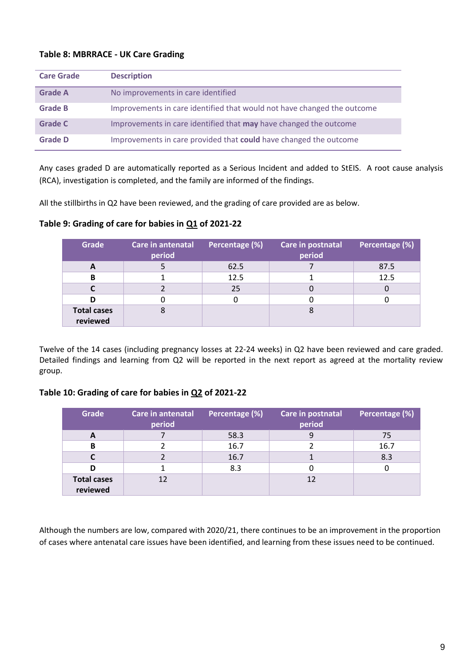## **Table 8: MBRRACE - UK Care Grading**

| <b>Care Grade</b> | <b>Description</b>                                                      |
|-------------------|-------------------------------------------------------------------------|
| <b>Grade A</b>    | No improvements in care identified                                      |
| <b>Grade B</b>    | Improvements in care identified that would not have changed the outcome |
| <b>Grade C</b>    | Improvements in care identified that may have changed the outcome       |
| <b>Grade D</b>    | Improvements in care provided that could have changed the outcome       |

Any cases graded D are automatically reported as a Serious Incident and added to StEIS. A root cause analysis (RCA), investigation is completed, and the family are informed of the findings.

All the stillbirths in Q2 have been reviewed, and the grading of care provided are as below.

| <b>Grade</b>                   | Care in antenatal<br>period | Percentage (%) | Care in postnatal<br>period | Percentage (%) |
|--------------------------------|-----------------------------|----------------|-----------------------------|----------------|
| A                              |                             | 62.5           |                             | 87.5           |
| B                              |                             | 12.5           |                             | 12.5           |
|                                |                             | 25             |                             |                |
| D                              |                             |                |                             |                |
| <b>Total cases</b><br>reviewed |                             |                |                             |                |

## **Table 9: Grading of care for babies in Q1 of 2021-22**

Twelve of the 14 cases (including pregnancy losses at 22-24 weeks) in Q2 have been reviewed and care graded. Detailed findings and learning from Q2 will be reported in the next report as agreed at the mortality review group.

## **Table 10: Grading of care for babies in Q2 of 2021-22**

| Grade                          | Care in antenatal<br>period | Percentage (%) | Care in postnatal<br>period | Percentage (%) |
|--------------------------------|-----------------------------|----------------|-----------------------------|----------------|
| A                              |                             | 58.3           |                             | 75             |
| B                              |                             | 16.7           |                             | 16.7           |
|                                |                             | 16.7           |                             | 8.3            |
| D                              |                             | 8.3            |                             |                |
| <b>Total cases</b><br>reviewed | 12                          |                | 12                          |                |

Although the numbers are low, compared with 2020/21, there continues to be an improvement in the proportion of cases where antenatal care issues have been identified, and learning from these issues need to be continued.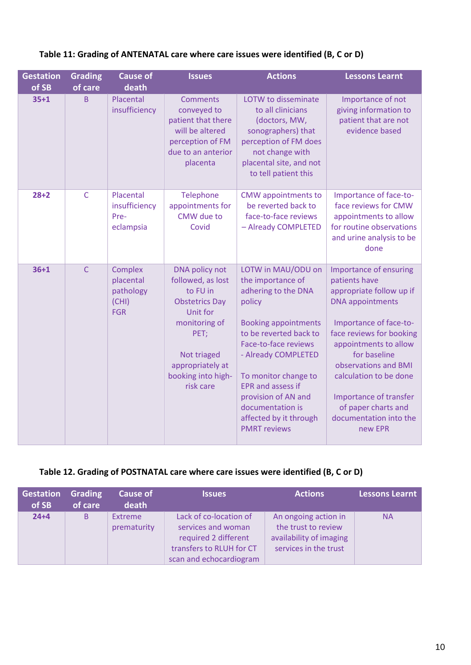| <b>Gestation</b><br>of SB | <b>Grading</b><br>of care | <b>Cause of</b><br>death                                 | <b>Issues</b>                                                                                                                                                                       | <b>Actions</b>                                                                                                                                                                                                                                                                                                                   | <b>Lessons Learnt</b>                                                                                                                                                                                                                                                                                                                 |
|---------------------------|---------------------------|----------------------------------------------------------|-------------------------------------------------------------------------------------------------------------------------------------------------------------------------------------|----------------------------------------------------------------------------------------------------------------------------------------------------------------------------------------------------------------------------------------------------------------------------------------------------------------------------------|---------------------------------------------------------------------------------------------------------------------------------------------------------------------------------------------------------------------------------------------------------------------------------------------------------------------------------------|
| $35 + 1$                  | B                         | Placental<br>insufficiency                               | <b>Comments</b><br>conveyed to<br>patient that there<br>will be altered<br>perception of FM<br>due to an anterior<br>placenta                                                       | LOTW to disseminate<br>to all clinicians<br>(doctors, MW,<br>sonographers) that<br>perception of FM does<br>not change with<br>placental site, and not<br>to tell patient this                                                                                                                                                   | Importance of not<br>giving information to<br>patient that are not<br>evidence based                                                                                                                                                                                                                                                  |
| $28 + 2$                  | $\mathsf{C}$              | Placental<br>insufficiency<br>Pre-<br>eclampsia          | Telephone<br>appointments for<br>CMW due to<br>Covid                                                                                                                                | <b>CMW</b> appointments to<br>be reverted back to<br>face-to-face reviews<br>- Already COMPLETED                                                                                                                                                                                                                                 | Importance of face-to-<br>face reviews for CMW<br>appointments to allow<br>for routine observations<br>and urine analysis to be<br>done                                                                                                                                                                                               |
| $36 + 1$                  | $\mathsf{C}$              | Complex<br>placental<br>pathology<br>(CHI)<br><b>FGR</b> | DNA policy not<br>followed, as lost<br>to FU in<br><b>Obstetrics Day</b><br>Unit for<br>monitoring of<br>PET;<br>Not triaged<br>appropriately at<br>booking into high-<br>risk care | LOTW in MAU/ODU on<br>the importance of<br>adhering to the DNA<br>policy<br><b>Booking appointments</b><br>to be reverted back to<br>Face-to-face reviews<br>- Already COMPLETED<br>To monitor change to<br><b>EPR</b> and assess if<br>provision of AN and<br>documentation is<br>affected by it through<br><b>PMRT</b> reviews | Importance of ensuring<br>patients have<br>appropriate follow up if<br><b>DNA</b> appointments<br>Importance of face-to-<br>face reviews for booking<br>appointments to allow<br>for baseline<br>observations and BMI<br>calculation to be done<br>Importance of transfer<br>of paper charts and<br>documentation into the<br>new EPR |

## **Table 11: Grading of ANTENATAL care where care issues were identified (B, C or D)**

## **Table 12. Grading of POSTNATAL care where care issues were identified (B, C or D)**

| Gestation<br>of SB | <b>Grading</b><br>of care | <b>Cause of</b><br>death      | <b>Issues</b>                                                                                                               | <b>Actions</b>                                                                                  | <b>Lessons Learnt</b> |
|--------------------|---------------------------|-------------------------------|-----------------------------------------------------------------------------------------------------------------------------|-------------------------------------------------------------------------------------------------|-----------------------|
| $24 + 4$           | B                         | <b>Extreme</b><br>prematurity | Lack of co-location of<br>services and woman<br>required 2 different<br>transfers to RLUH for CT<br>scan and echocardiogram | An ongoing action in<br>the trust to review<br>availability of imaging<br>services in the trust | <b>NA</b>             |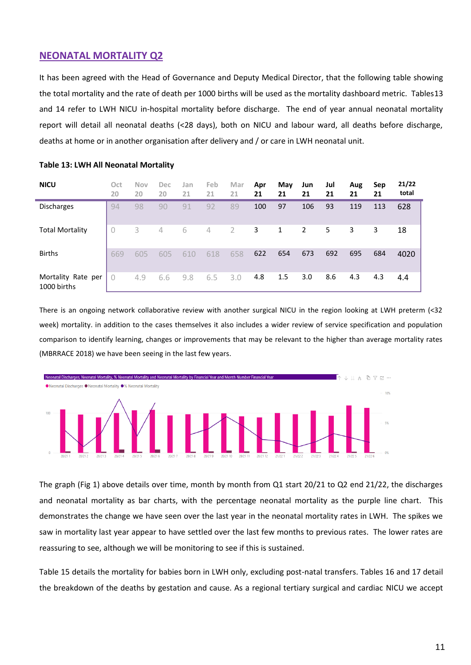## **NEONATAL MORTALITY Q2**

It has been agreed with the Head of Governance and Deputy Medical Director, that the following table showing the total mortality and the rate of death per 1000 births will be used as the mortality dashboard metric. Tables13 and 14 refer to LWH NICU in-hospital mortality before discharge. The end of year annual neonatal mortality report will detail all neonatal deaths (<28 days), both on NICU and labour ward, all deaths before discharge, deaths at home or in another organisation after delivery and / or care in LWH neonatal unit.

| <b>NICU</b>                       | Oct<br>20 | <b>Nov</b><br>20 | Dec<br>20      | Jan<br>21 | Feb<br>21      | Mar<br>21      | Apr<br>21 | May<br>21 | Jun<br>21 | Jul<br>21 | Aug<br>21 | Sep<br>21 | 21/22<br>total |
|-----------------------------------|-----------|------------------|----------------|-----------|----------------|----------------|-----------|-----------|-----------|-----------|-----------|-----------|----------------|
| <b>Discharges</b>                 | 94        | 98               | 90             | 91        | 92             | 89             | 100       | 97        | 106       | 93        | 119       | 113       | 628            |
| <b>Total Mortality</b>            | 0         | 3                | $\overline{4}$ | 6         | $\overline{4}$ | $\overline{2}$ | 3         | 1         | 2         | 5         | 3         | 3         | 18             |
| <b>Births</b>                     | 669       | 605              | 605            | 610       | 618            | 658            | 622       | 654       | 673       | 692       | 695       | 684       | 4020           |
| Mortality Rate per<br>1000 births | 0         | 4.9              | 6.6            | 9.8       | 6.5            | 3.0            | 4.8       | 1.5       | 3.0       | 8.6       | 4.3       | 4.3       | 4.4            |

#### **Table 13: LWH All Neonatal Mortality**

There is an ongoing network collaborative review with another surgical NICU in the region looking at LWH preterm (<32 week) mortality. in addition to the cases themselves it also includes a wider review of service specification and population comparison to identify learning, changes or improvements that may be relevant to the higher than average mortality rates (MBRRACE 2018) we have been seeing in the last few years.



The graph (Fig 1) above details over time, month by month from Q1 start 20/21 to Q2 end 21/22, the discharges and neonatal mortality as bar charts, with the percentage neonatal mortality as the purple line chart. This demonstrates the change we have seen over the last year in the neonatal mortality rates in LWH. The spikes we saw in mortality last year appear to have settled over the last few months to previous rates. The lower rates are reassuring to see, although we will be monitoring to see if this is sustained.

Table 15 details the mortality for babies born in LWH only, excluding post-natal transfers. Tables 16 and 17 detail the breakdown of the deaths by gestation and cause. As a regional tertiary surgical and cardiac NICU we accept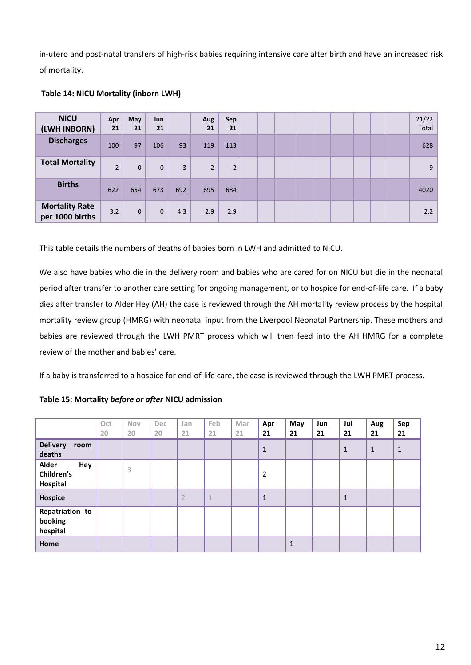in-utero and post-natal transfers of high-risk babies requiring intensive care after birth and have an increased risk of mortality.

| <b>NICU</b><br>(LWH INBORN)              | Apr<br>21      | May<br>21    | Jun<br>21    |     | Aug<br>21      | Sep<br>21      |  |  |  |  | 21/22<br>Total |
|------------------------------------------|----------------|--------------|--------------|-----|----------------|----------------|--|--|--|--|----------------|
| <b>Discharges</b>                        | 100            | 97           | 106          | 93  | 119            | 113            |  |  |  |  | 628            |
| <b>Total Mortality</b>                   | $\overline{2}$ | $\mathbf 0$  | $\mathbf 0$  | 3   | $\overline{2}$ | $\overline{2}$ |  |  |  |  | 9              |
| <b>Births</b>                            | 622            | 654          | 673          | 692 | 695            | 684            |  |  |  |  | 4020           |
| <b>Mortality Rate</b><br>per 1000 births | 3.2            | $\mathbf{0}$ | $\mathbf{0}$ | 4.3 | 2.9            | 2.9            |  |  |  |  | 2.2            |

#### **Table 14: NICU Mortality (inborn LWH)**

This table details the numbers of deaths of babies born in LWH and admitted to NICU.

We also have babies who die in the delivery room and babies who are cared for on NICU but die in the neonatal period after transfer to another care setting for ongoing management, or to hospice for end-of-life care. If a baby dies after transfer to Alder Hey (AH) the case is reviewed through the AH mortality review process by the hospital mortality review group (HMRG) with neonatal input from the Liverpool Neonatal Partnership. These mothers and babies are reviewed through the LWH PMRT process which will then feed into the AH HMRG for a complete review of the mother and babies' care.

If a baby is transferred to a hospice for end-of-life care, the case is reviewed through the LWH PMRT process.

**Table 15: Mortality** *before or after* **NICU admission** 

|                                        | Oct<br>20 | Nov<br>20 | Dec<br>20 | Jan<br>21      | Feb<br>21    | Mar<br>21 | Apr<br>21      | May<br>21   | Jun<br>21 | Jul<br>21    | Aug<br>21    | Sep<br>21    |
|----------------------------------------|-----------|-----------|-----------|----------------|--------------|-----------|----------------|-------------|-----------|--------------|--------------|--------------|
| <b>Delivery</b><br>room<br>deaths      |           |           |           |                |              |           | $\mathbf{1}$   |             |           | $\mathbf{1}$ | $\mathbf{1}$ | $\mathbf{1}$ |
| Alder<br>Hey<br>Children's<br>Hospital |           | 3         |           |                |              |           | $\overline{2}$ |             |           |              |              |              |
| <b>Hospice</b>                         |           |           |           | $\overline{2}$ | $\mathbf{1}$ |           | $\mathbf{1}$   |             |           | $\mathbf 1$  |              |              |
| Repatriation to<br>booking<br>hospital |           |           |           |                |              |           |                |             |           |              |              |              |
| Home                                   |           |           |           |                |              |           |                | $\mathbf 1$ |           |              |              |              |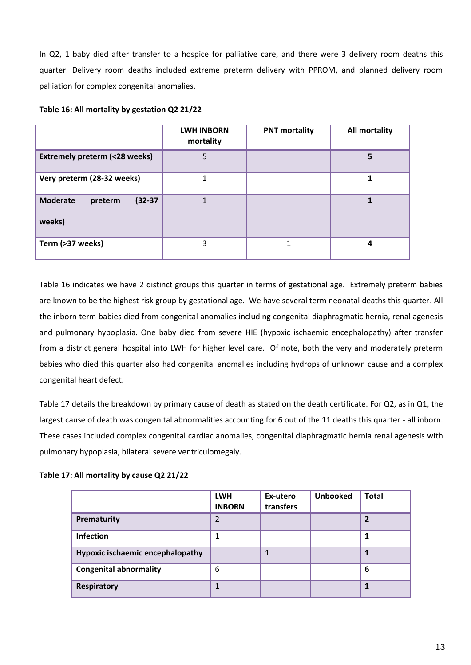In Q2, 1 baby died after transfer to a hospice for palliative care, and there were 3 delivery room deaths this quarter. Delivery room deaths included extreme preterm delivery with PPROM, and planned delivery room palliation for complex congenital anomalies.

|                                                   | <b>LWH INBORN</b><br>mortality | <b>PNT mortality</b> | All mortality |
|---------------------------------------------------|--------------------------------|----------------------|---------------|
| <b>Extremely preterm (&lt;28 weeks)</b>           | 5                              |                      | 5             |
| Very preterm (28-32 weeks)                        |                                |                      |               |
| $(32-37)$<br><b>Moderate</b><br>preterm<br>weeks) |                                |                      |               |
| Term (>37 weeks)                                  | 3                              |                      | 4             |

#### **Table 16: All mortality by gestation Q2 21/22**

Table 16 indicates we have 2 distinct groups this quarter in terms of gestational age. Extremely preterm babies are known to be the highest risk group by gestational age. We have several term neonatal deaths this quarter. All the inborn term babies died from congenital anomalies including congenital diaphragmatic hernia, renal agenesis and pulmonary hypoplasia. One baby died from severe HIE (hypoxic ischaemic encephalopathy) after transfer from a district general hospital into LWH for higher level care. Of note, both the very and moderately preterm babies who died this quarter also had congenital anomalies including hydrops of unknown cause and a complex congenital heart defect.

Table 17 details the breakdown by primary cause of death as stated on the death certificate. For Q2, as in Q1, the largest cause of death was congenital abnormalities accounting for 6 out of the 11 deaths this quarter - all inborn. These cases included complex congenital cardiac anomalies, congenital diaphragmatic hernia renal agenesis with pulmonary hypoplasia, bilateral severe ventriculomegaly.

#### **Table 17: All mortality by cause Q2 21/22**

|                                  | <b>LWH</b><br><b>INBORN</b> | Ex-utero<br>transfers | <b>Unbooked</b> | <b>Total</b>            |
|----------------------------------|-----------------------------|-----------------------|-----------------|-------------------------|
| Prematurity                      | 2                           |                       |                 | $\overline{\mathbf{c}}$ |
| <b>Infection</b>                 | 1                           |                       |                 | 1                       |
| Hypoxic ischaemic encephalopathy |                             |                       |                 | 1                       |
| <b>Congenital abnormality</b>    | 6                           |                       |                 | 6                       |
| <b>Respiratory</b>               | 1                           |                       |                 | 1                       |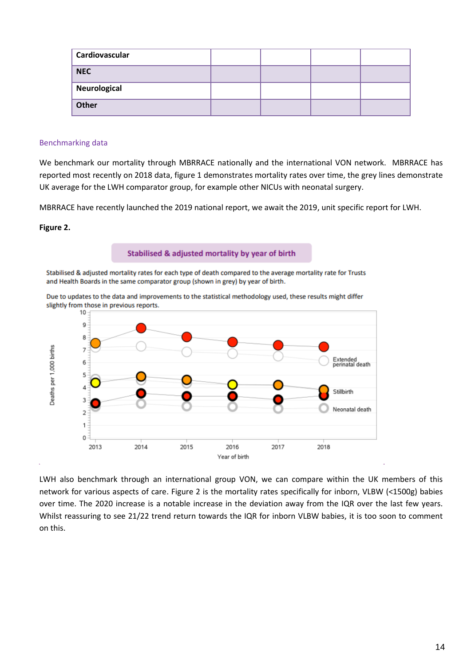| Cardiovascular |  |  |
|----------------|--|--|
| <b>NEC</b>     |  |  |
| Neurological   |  |  |
| Other          |  |  |

#### Benchmarking data

We benchmark our mortality through MBRRACE nationally and the international VON network. MBRRACE has reported most recently on 2018 data, figure 1 demonstrates mortality rates over time, the grey lines demonstrate UK average for the LWH comparator group, for example other NICUs with neonatal surgery.

MBRRACE have recently launched the 2019 national report, we await the 2019, unit specific report for LWH.

#### **Figure 2.**



Due to updates to the data and improvements to the statistical methodology used, these results might differ

LWH also benchmark through an international group VON, we can compare within the UK members of this network for various aspects of care. Figure 2 is the mortality rates specifically for inborn, VLBW (<1500g) babies over time. The 2020 increase is a notable increase in the deviation away from the IQR over the last few years. Whilst reassuring to see 21/22 trend return towards the IQR for inborn VLBW babies, it is too soon to comment on this.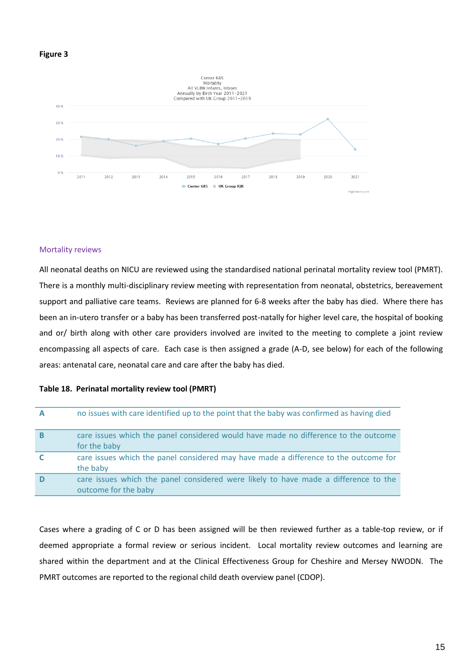#### **Figure 3**



#### Mortality reviews

All neonatal deaths on NICU are reviewed using the standardised national perinatal mortality review tool (PMRT). There is a monthly multi-disciplinary review meeting with representation from neonatal, obstetrics, bereavement support and palliative care teams. Reviews are planned for 6-8 weeks after the baby has died. Where there has been an in-utero transfer or a baby has been transferred post-natally for higher level care, the hospital of booking and or/ birth along with other care providers involved are invited to the meeting to complete a joint review encompassing all aspects of care. Each case is then assigned a grade (A-D, see below) for each of the following areas: antenatal care, neonatal care and care after the baby has died.

#### **Table 18. Perinatal mortality review tool (PMRT)**

| $\mathbf{A}$ | no issues with care identified up to the point that the baby was confirmed as having died                   |
|--------------|-------------------------------------------------------------------------------------------------------------|
| B            | care issues which the panel considered would have made no difference to the outcome<br>for the baby         |
| C            | care issues which the panel considered may have made a difference to the outcome for<br>the baby            |
| D            | care issues which the panel considered were likely to have made a difference to the<br>outcome for the baby |

Cases where a grading of C or D has been assigned will be then reviewed further as a table-top review, or if deemed appropriate a formal review or serious incident. Local mortality review outcomes and learning are shared within the department and at the Clinical Effectiveness Group for Cheshire and Mersey NWODN. The PMRT outcomes are reported to the regional child death overview panel (CDOP).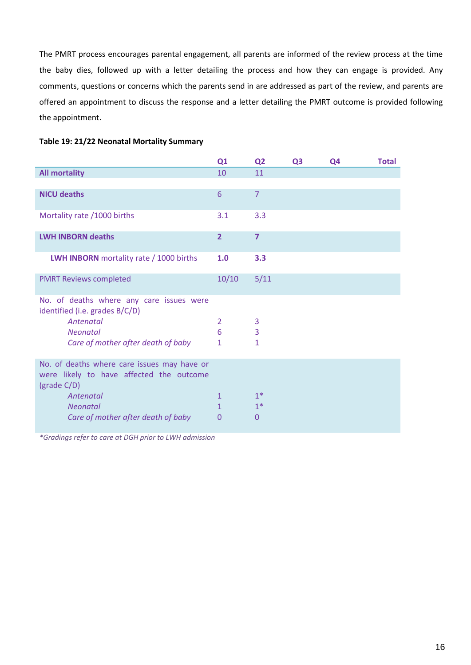The PMRT process encourages parental engagement, all parents are informed of the review process at the time the baby dies, followed up with a letter detailing the process and how they can engage is provided. Any comments, questions or concerns which the parents send in are addressed as part of the review, and parents are offered an appointment to discuss the response and a letter detailing the PMRT outcome is provided following the appointment.

|  | Table 19: 21/22 Neonatal Mortality Summary |  |
|--|--------------------------------------------|--|
|--|--------------------------------------------|--|

| Q1                                          | Q <sub>2</sub>    | Q <sub>3</sub> | Q4 | <b>Total</b> |
|---------------------------------------------|-------------------|----------------|----|--------------|
| 10                                          | 11                |                |    |              |
|                                             |                   |                |    |              |
| 6                                           | $\overline{7}$    |                |    |              |
| 3.1                                         | 3.3               |                |    |              |
| $\overline{2}$                              | $\overline{7}$    |                |    |              |
| 1.0                                         | 3.3               |                |    |              |
| 10/10                                       | 5/11              |                |    |              |
| 2<br>6<br>1                                 | 3<br>3<br>1       |                |    |              |
| $\mathbf{1}$<br>$\mathbf{1}$<br>$\mathbf 0$ | $1*$<br>$1*$<br>0 |                |    |              |
|                                             |                   |                |    |              |

*\*Gradings refer to care at DGH prior to LWH admission*